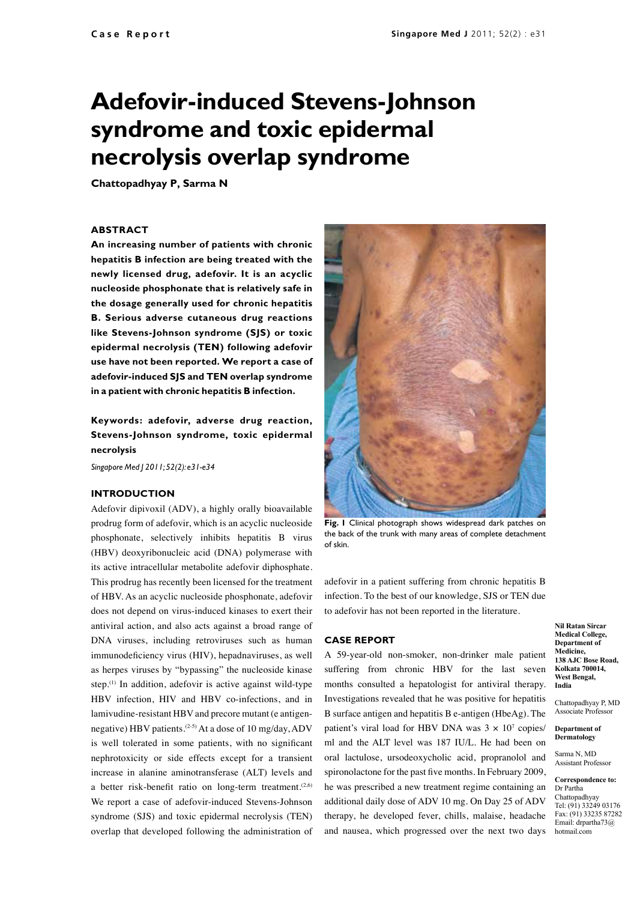# **Adefovir-induced Stevens-Johnson syndrome and toxic epidermal necrolysis overlap syndrome**

**Chattopadhyay P, Sarma N**

#### **ABSTRACT**

**An increasing number of patients with chronic hepatitis B infection are being treated with the newly licensed drug, adefovir. It is an acyclic nucleoside phosphonate that is relatively safe in the dosage generally used for chronic hepatitis B. Serious adverse cutaneous drug reactions like Stevens-Johnson syndrome (SJS) or toxic epidermal necrolysis (TEN) following adefovir use have not been reported. We report a case of adefovir-induced SJS and TEN overlap syndrome in a patient with chronic hepatitis B infection.** 

## **Keywords: adefovir, adverse drug reaction, Stevens-Johnson syndrome, toxic epidermal necrolysis**

*Singapore Med J 2011; 52(2): e31-e34*

### **Introduction**

Adefovir dipivoxil (ADV), a highly orally bioavailable prodrug form of adefovir, which is an acyclic nucleoside phosphonate, selectively inhibits hepatitis B virus (HBV) deoxyribonucleic acid (DNA) polymerase with its active intracellular metabolite adefovir diphosphate. This prodrug has recently been licensed for the treatment of HBV. As an acyclic nucleoside phosphonate, adefovir does not depend on virus-induced kinases to exert their antiviral action, and also acts against a broad range of DNA viruses, including retroviruses such as human immunodeficiency virus (HIV), hepadnaviruses, as well as herpes viruses by "bypassing" the nucleoside kinase step.<sup>(1)</sup> In addition, adefovir is active against wild-type HBV infection, HIV and HBV co-infections, and in lamivudine-resistant HBV and precore mutant (e antigennegative) HBV patients.<sup>(2-5)</sup> At a dose of 10 mg/day, ADV is well tolerated in some patients, with no significant nephrotoxicity or side effects except for a transient increase in alanine aminotransferase (ALT) levels and a better risk-benefit ratio on long-term treatment.<sup> $(2,6)$ </sup> We report a case of adefovir-induced Stevens-Johnson syndrome (SJS) and toxic epidermal necrolysis (TEN) overlap that developed following the administration of



**Fig. 1** Clinical photograph shows widespread dark patches on the back of the trunk with many areas of complete detachment of skin.

adefovir in a patient suffering from chronic hepatitis B infection. To the best of our knowledge, SJS or TEN due to adefovir has not been reported in the literature.

#### **Case report**

A 59-year-old non-smoker, non-drinker male patient suffering from chronic HBV for the last seven months consulted a hepatologist for antiviral therapy. Investigations revealed that he was positive for hepatitis B surface antigen and hepatitis B e-antigen (HbeAg). The patient's viral load for HBV DNA was  $3 \times 10^7$  copies/ ml and the ALT level was 187 IU/L. He had been on oral lactulose, ursodeoxycholic acid, propranolol and spironolactone for the past five months. In February 2009, he was prescribed a new treatment regime containing an additional daily dose of ADV 10 mg. On Day 25 of ADV therapy, he developed fever, chills, malaise, headache and nausea, which progressed over the next two days

**Nil Ratan Sircar Medical College, Department of Medicine, 138 AJC Bose Road, Kolkata 700014, West Bengal, India**

Chattopadhyay P, MD Associate Professor

**Department of Dermatology**

Sarma N, MD **Assistant Professor** 

**Correspondence to:** Dr Partha Chattopadhyay Tel: (91) 33249 03176 Fax: (91) 33235 87282 Email: drpartha73@ hotmail.com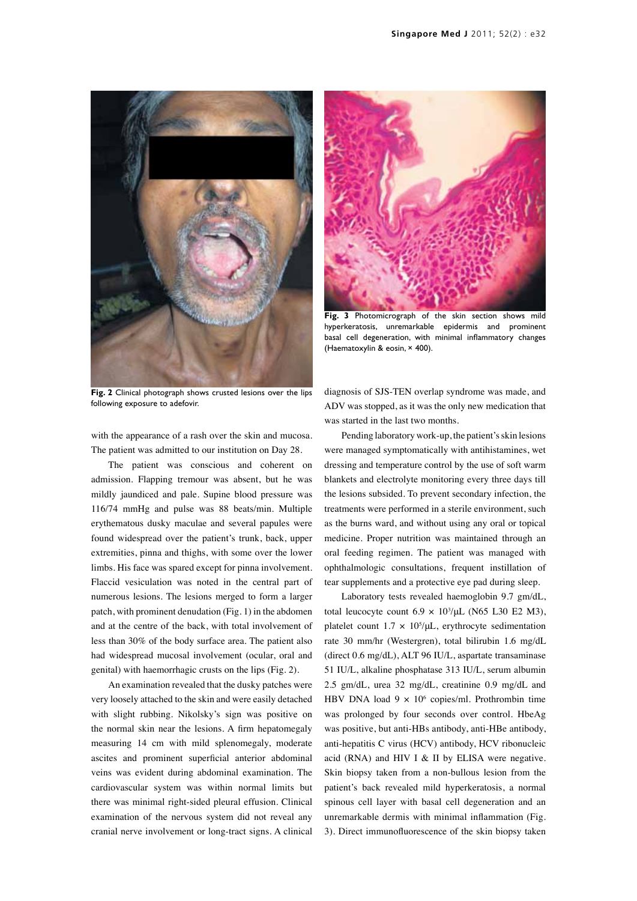



Fig. 3 Photomicrograph of the skin section shows mild hyperkeratosis, unremarkable epidermis and prominent basal cell degeneration, with minimal inflammatory changes (Haematoxylin & eosin, × 400).

**Fig. 2** Clinical photograph shows crusted lesions over the lips following exposure to adefovir.

with the appearance of a rash over the skin and mucosa. The patient was admitted to our institution on Day 28.

The patient was conscious and coherent on admission. Flapping tremour was absent, but he was mildly jaundiced and pale. Supine blood pressure was 116/74 mmHg and pulse was 88 beats/min. Multiple erythematous dusky maculae and several papules were found widespread over the patient's trunk, back, upper extremities, pinna and thighs, with some over the lower limbs. His face was spared except for pinna involvement. Flaccid vesiculation was noted in the central part of numerous lesions. The lesions merged to form a larger patch, with prominent denudation (Fig. 1) in the abdomen and at the centre of the back, with total involvement of less than 30% of the body surface area. The patient also had widespread mucosal involvement (ocular, oral and genital) with haemorrhagic crusts on the lips (Fig. 2).

An examination revealed that the dusky patches were very loosely attached to the skin and were easily detached with slight rubbing. Nikolsky's sign was positive on the normal skin near the lesions. A firm hepatomegaly measuring 14 cm with mild splenomegaly, moderate ascites and prominent superficial anterior abdominal veins was evident during abdominal examination. The cardiovascular system was within normal limits but there was minimal right-sided pleural effusion. Clinical examination of the nervous system did not reveal any cranial nerve involvement or long-tract signs. A clinical diagnosis of SJS-TEN overlap syndrome was made, and ADV was stopped, as it was the only new medication that was started in the last two months.

Pending laboratory work-up, the patient's skin lesions were managed symptomatically with antihistamines, wet dressing and temperature control by the use of soft warm blankets and electrolyte monitoring every three days till the lesions subsided. To prevent secondary infection, the treatments were performed in a sterile environment, such as the burns ward, and without using any oral or topical medicine. Proper nutrition was maintained through an oral feeding regimen. The patient was managed with ophthalmologic consultations, frequent instillation of tear supplements and a protective eye pad during sleep.

Laboratory tests revealed haemoglobin 9.7 gm/dL, total leucocyte count  $6.9 \times 10^3/\mu L$  (N65 L30 E2 M3), platelet count  $1.7 \times 10^5/\mu L$ , erythrocyte sedimentation rate 30 mm/hr (Westergren), total bilirubin 1.6 mg/dL (direct 0.6 mg/dL), ALT 96 IU/L, aspartate transaminase 51 IU/L, alkaline phosphatase 313 IU/L, serum albumin 2.5 gm/dL, urea 32 mg/dL, creatinine 0.9 mg/dL and HBV DNA load  $9 \times 10^6$  copies/ml. Prothrombin time was prolonged by four seconds over control. HbeAg was positive, but anti-HBs antibody, anti-HBe antibody, anti-hepatitis C virus (HCV) antibody, HCV ribonucleic acid (RNA) and HIV I & II by ELISA were negative. Skin biopsy taken from a non-bullous lesion from the patient's back revealed mild hyperkeratosis, a normal spinous cell layer with basal cell degeneration and an unremarkable dermis with minimal inflammation (Fig. 3). Direct immunofluorescence of the skin biopsy taken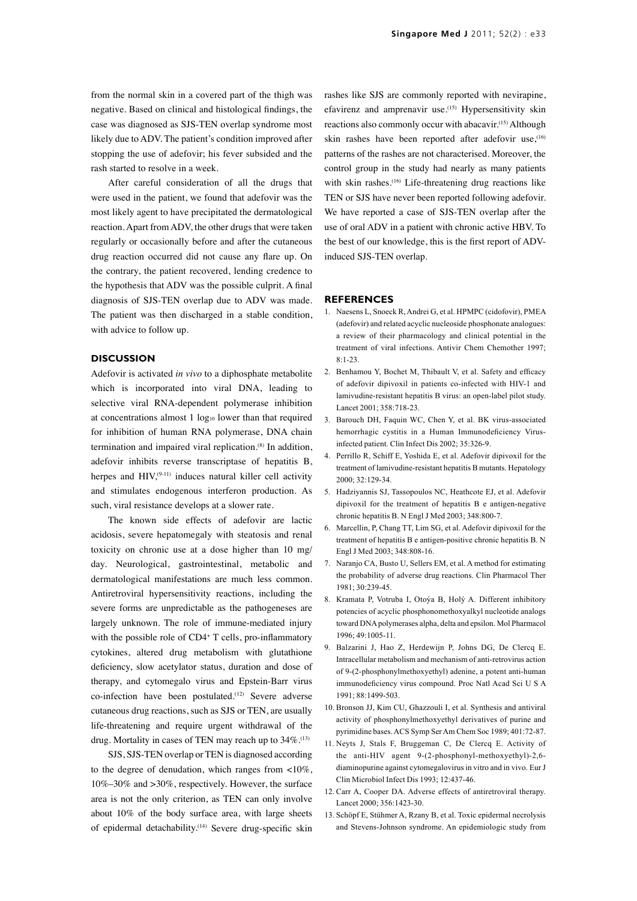from the normal skin in a covered part of the thigh was negative. Based on clinical and histological findings, the case was diagnosed as SJS-TEN overlap syndrome most likely due to ADV. The patient's condition improved after stopping the use of adefovir; his fever subsided and the rash started to resolve in a week.

After careful consideration of all the drugs that were used in the patient, we found that adefovir was the most likely agent to have precipitated the dermatological reaction. Apart from ADV, the other drugs that were taken regularly or occasionally before and after the cutaneous drug reaction occurred did not cause any flare up. On the contrary, the patient recovered, lending credence to the hypothesis that ADV was the possible culprit. A final diagnosis of SJS-TEN overlap due to ADV was made. The patient was then discharged in a stable condition, with advice to follow up.

## **Discussion**

Adefovir is activated *in vivo* to a diphosphate metabolite which is incorporated into viral DNA, leading to selective viral RNA-dependent polymerase inhibition at concentrations almost  $1 \log_{10}$  lower than that required for inhibition of human RNA polymerase, DNA chain termination and impaired viral replication.(8) In addition, adefovir inhibits reverse transcriptase of hepatitis B, herpes and  $HIV<sub>19-111</sub>$  induces natural killer cell activity and stimulates endogenous interferon production. As such, viral resistance develops at a slower rate.

The known side effects of adefovir are lactic acidosis, severe hepatomegaly with steatosis and renal toxicity on chronic use at a dose higher than 10 mg/ day. Neurological, gastrointestinal, metabolic and dermatological manifestations are much less common. Antiretroviral hypersensitivity reactions, including the severe forms are unpredictable as the pathogeneses are largely unknown. The role of immune-mediated injury with the possible role of CD4<sup>+</sup> T cells, pro-inflammatory cytokines, altered drug metabolism with glutathione deficiency, slow acetylator status, duration and dose of therapy, and cytomegalo virus and Epstein-Barr virus co-infection have been postulated.<sup>(12)</sup> Severe adverse cutaneous drug reactions, such as SJS or TEN, are usually life-threatening and require urgent withdrawal of the drug. Mortality in cases of TEN may reach up to 34%.<sup>(13)</sup>

SJS, SJS-TEN overlap or TEN is diagnosed according to the degree of denudation, which ranges from <10%, 10%–30% and >30%, respectively. However, the surface area is not the only criterion, as TEN can only involve about 10% of the body surface area, with large sheets of epidermal detachability.<sup>(14)</sup> Severe drug-specific skin rashes like SJS are commonly reported with nevirapine, efavirenz and amprenavir use.<sup>(15)</sup> Hypersensitivity skin reactions also commonly occur with abacavir.(15) Although skin rashes have been reported after adefovir use.<sup>(16)</sup> patterns of the rashes are not characterised. Moreover, the control group in the study had nearly as many patients with skin rashes.<sup>(16)</sup> Life-threatening drug reactions like TEN or SJS have never been reported following adefovir. We have reported a case of SJS-TEN overlap after the use of oral ADV in a patient with chronic active HBV. To the best of our knowledge, this is the first report of ADVinduced SJS-TEN overlap.

#### **REFERENCES**

- 1. Naesens L, Snoeck R, Andrei G, et al. HPMPC (cidofovir), PMEA (adefovir) and related acyclic nucleoside phosphonate analogues: a review of their pharmacology and clinical potential in the treatment of viral infections. Antivir Chem Chemother 1997; 8:1-23.
- 2. Benhamou Y, Bochet M, Thibault V, et al. Safety and efficacy of adefovir dipivoxil in patients co-infected with HIV-1 and lamivudine-resistant hepatitis B virus: an open-label pilot study. Lancet 2001; 358:718-23.
- 3. Barouch DH, Faquin WC, Chen Y, et al. BK virus-associated hemorrhagic cystitis in a Human Immunodeficiency Virusinfected patient. Clin Infect Dis 2002; 35:326-9.
- 4. Perrillo R, Schiff E, Yoshida E, et al. Adefovir dipivoxil for the treatment of lamivudine-resistant hepatitis B mutants. Hepatology 2000; 32:129-34.
- 5. Hadziyannis SJ, Tassopoulos NC, Heathcote EJ, et al. Adefovir dipivoxil for the treatment of hepatitis B e antigen-negative chronic hepatitis B. N Engl J Med 2003; 348:800-7.
- 6. Marcellin, P, Chang TT, Lim SG, et al. Adefovir dipivoxil for the treatment of hepatitis B e antigen-positive chronic hepatitis B. N Engl J Med 2003; 348:808-16.
- 7. Naranjo CA, Busto U, Sellers EM, et al. A method for estimating the probability of adverse drug reactions. Clin Pharmacol Ther 1981; 30:239-45.
- 8. Kramata P, Votruba I, Otoýa B, Holý A. Different inhibitory potencies of acyclic phosphonomethoxyalkyl nucleotide analogs toward DNA polymerases alpha, delta and epsilon. Mol Pharmacol 1996; 49:1005-11.
- 9. Balzarini J, Hao Z, Herdewijn P, Johns DG, De Clercq E. Intracellular metabolism and mechanism of anti-retrovirus action of 9-(2-phosphonylmethoxyethyl) adenine, a potent anti-human immunodeficiency virus compound. Proc Natl Acad Sci U S A 1991; 88:1499-503.
- 10. Bronson JJ, Kim CU, Ghazzouli I, et al. Synthesis and antiviral activity of phosphonylmethoxyethyl derivatives of purine and pyrimidine bases. ACS Symp Ser Am Chem Soc 1989; 401:72-87.
- 11. Neyts J, Stals F, Bruggeman C, De Clercq E. Activity of the anti-HIV agent 9-(2-phosphonyl-methoxyethyl)-2,6 diaminopurine against cytomegalovirus in vitro and in vivo. Eur J Clin Microbiol Infect Dis 1993; 12:437-46.
- 12. Carr A, Cooper DA. Adverse effects of antiretroviral therapy. Lancet 2000; 356:1423-30.
- 13. Schöpf E, Stühmer A, Rzany B, et al. Toxic epidermal necrolysis and Stevens-Johnson syndrome. An epidemiologic study from